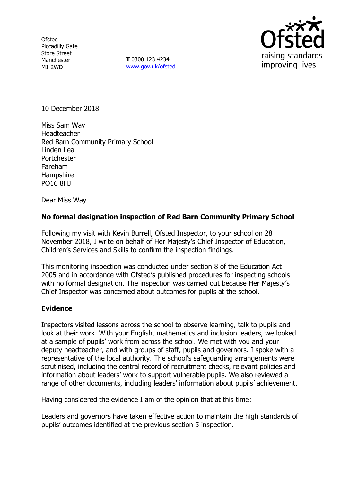**Ofsted** Piccadilly Gate Store Street Manchester M1 2WD

**T** 0300 123 4234 www.gov.uk/ofsted



10 December 2018

Miss Sam Way Headteacher Red Barn Community Primary School Linden Lea Portchester Fareham **Hampshire** PO16 8HJ

Dear Miss Way

# **No formal designation inspection of Red Barn Community Primary School**

Following my visit with Kevin Burrell, Ofsted Inspector, to your school on 28 November 2018, I write on behalf of Her Majesty's Chief Inspector of Education, Children's Services and Skills to confirm the inspection findings.

This monitoring inspection was conducted under section 8 of the Education Act 2005 and in accordance with Ofsted's published procedures for inspecting schools with no formal designation. The inspection was carried out because Her Majesty's Chief Inspector was concerned about outcomes for pupils at the school.

## **Evidence**

Inspectors visited lessons across the school to observe learning, talk to pupils and look at their work. With your English, mathematics and inclusion leaders, we looked at a sample of pupils' work from across the school. We met with you and your deputy headteacher, and with groups of staff, pupils and governors. I spoke with a representative of the local authority. The school's safeguarding arrangements were scrutinised, including the central record of recruitment checks, relevant policies and information about leaders' work to support vulnerable pupils. We also reviewed a range of other documents, including leaders' information about pupils' achievement.

Having considered the evidence I am of the opinion that at this time:

Leaders and governors have taken effective action to maintain the high standards of pupils' outcomes identified at the previous section 5 inspection.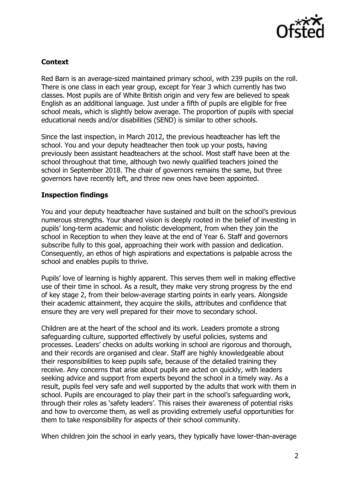

# **Context**

Red Barn is an average-sized maintained primary school, with 239 pupils on the roll. There is one class in each year group, except for Year 3 which currently has two classes. Most pupils are of White British origin and very few are believed to speak English as an additional language. Just under a fifth of pupils are eligible for free school meals, which is slightly below average. The proportion of pupils with special educational needs and/or disabilities (SEND) is similar to other schools.

Since the last inspection, in March 2012, the previous headteacher has left the school. You and your deputy headteacher then took up your posts, having previously been assistant headteachers at the school. Most staff have been at the school throughout that time, although two newly qualified teachers joined the school in September 2018. The chair of governors remains the same, but three governors have recently left, and three new ones have been appointed.

## **Inspection findings**

You and your deputy headteacher have sustained and built on the school's previous numerous strengths. Your shared vision is deeply rooted in the belief of investing in pupils' long-term academic and holistic development, from when they join the school in Reception to when they leave at the end of Year 6. Staff and governors subscribe fully to this goal, approaching their work with passion and dedication. Consequently, an ethos of high aspirations and expectations is palpable across the school and enables pupils to thrive.

Pupils' love of learning is highly apparent. This serves them well in making effective use of their time in school. As a result, they make very strong progress by the end of key stage 2, from their below-average starting points in early years. Alongside their academic attainment, they acquire the skills, attributes and confidence that ensure they are very well prepared for their move to secondary school.

Children are at the heart of the school and its work. Leaders promote a strong safeguarding culture, supported effectively by useful policies, systems and processes. Leaders' checks on adults working in school are rigorous and thorough, and their records are organised and clear. Staff are highly knowledgeable about their responsibilities to keep pupils safe, because of the detailed training they receive. Any concerns that arise about pupils are acted on quickly, with leaders seeking advice and support from experts beyond the school in a timely way. As a result, pupils feel very safe and well supported by the adults that work with them in school. Pupils are encouraged to play their part in the school's safeguarding work, through their roles as 'safety leaders'. This raises their awareness of potential risks and how to overcome them, as well as providing extremely useful opportunities for them to take responsibility for aspects of their school community.

When children join the school in early years, they typically have lower-than-average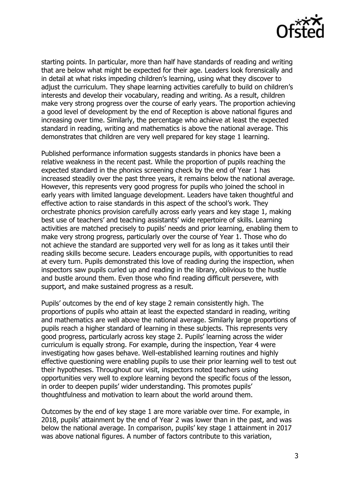

starting points. In particular, more than half have standards of reading and writing that are below what might be expected for their age. Leaders look forensically and in detail at what risks impeding children's learning, using what they discover to adjust the curriculum. They shape learning activities carefully to build on children's interests and develop their vocabulary, reading and writing. As a result, children make very strong progress over the course of early years. The proportion achieving a good level of development by the end of Reception is above national figures and increasing over time. Similarly, the percentage who achieve at least the expected standard in reading, writing and mathematics is above the national average. This demonstrates that children are very well prepared for key stage 1 learning.

Published performance information suggests standards in phonics have been a relative weakness in the recent past. While the proportion of pupils reaching the expected standard in the phonics screening check by the end of Year 1 has increased steadily over the past three years, it remains below the national average. However, this represents very good progress for pupils who joined the school in early years with limited language development. Leaders have taken thoughtful and effective action to raise standards in this aspect of the school's work. They orchestrate phonics provision carefully across early years and key stage 1, making best use of teachers' and teaching assistants' wide repertoire of skills. Learning activities are matched precisely to pupils' needs and prior learning, enabling them to make very strong progress, particularly over the course of Year 1. Those who do not achieve the standard are supported very well for as long as it takes until their reading skills become secure. Leaders encourage pupils, with opportunities to read at every turn. Pupils demonstrated this love of reading during the inspection, when inspectors saw pupils curled up and reading in the library, oblivious to the hustle and bustle around them. Even those who find reading difficult persevere, with support, and make sustained progress as a result.

Pupils' outcomes by the end of key stage 2 remain consistently high. The proportions of pupils who attain at least the expected standard in reading, writing and mathematics are well above the national average. Similarly large proportions of pupils reach a higher standard of learning in these subjects. This represents very good progress, particularly across key stage 2. Pupils' learning across the wider curriculum is equally strong. For example, during the inspection, Year 4 were investigating how gases behave. Well-established learning routines and highly effective questioning were enabling pupils to use their prior learning well to test out their hypotheses. Throughout our visit, inspectors noted teachers using opportunities very well to explore learning beyond the specific focus of the lesson, in order to deepen pupils' wider understanding. This promotes pupils' thoughtfulness and motivation to learn about the world around them.

Outcomes by the end of key stage 1 are more variable over time. For example, in 2018, pupils' attainment by the end of Year 2 was lower than in the past, and was below the national average. In comparison, pupils' key stage 1 attainment in 2017 was above national figures. A number of factors contribute to this variation,